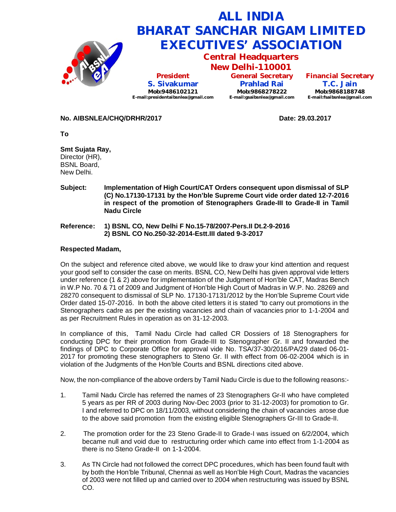

**No. AIBSNLEA/CHQ/DRHR/2017 Date: 29.03.2017**

**Smt Sujata Ray,** Director (HR), BSNL Board, New Delhi.

**To**

- **Subject: Implementation of High Court/CAT Orders consequent upon dismissal of SLP (C) No.17130-17131 by the Hon'ble Supreme Court vide order dated 12-7-2016 in respect of the promotion of Stenographers Grade-III to Grade-II in Tamil Nadu Circle**
- **Reference: 1) BSNL CO, New Delhi F No.15-78/2007-Pers.II Dt.2-9-2016 2) BSNL CO No.250-32-2014-Estt.III dated 9-3-2017**

## **Respected Madam,**

On the subject and reference cited above, we would like to draw your kind attention and request your good self to consider the case on merits. BSNL CO, New Delhi has given approval vide letters under reference (1 & 2) above for implementation of the Judgment of Hon'ble CAT, Madras Bench in W.P No. 70 & 71 of 2009 and Judgment of Hon'ble High Court of Madras in W.P. No. 28269 and 28270 consequent to dismissal of SLP No. 17130-17131/2012 by the Hon'ble Supreme Court vide Order dated 15-07-2016. In both the above cited letters it is stated "to carry out promotions in the Stenographers cadre as per the existing vacancies and chain of vacancies prior to 1-1-2004 and as per Recruitment Rules in operation as on 31-12-2003.

In compliance of this, Tamil Nadu Circle had called CR Dossiers of 18 Stenographers for conducting DPC for their promotion from Grade-III to Stenographer Gr. II and forwarded the findings of DPC to Corporate Office for approval vide No. TSA/37-30/2016/PA/29 dated 06-01- 2017 for promoting these stenographers to Steno Gr. II with effect from 06-02-2004 which is in violation of the Judgments of the Hon'ble Courts and BSNL directions cited above.

Now, the non-compliance of the above orders by Tamil Nadu Circle is due to the following reasons:-

- 1. Tamil Nadu Circle has referred the names of 23 Stenographers Gr-II who have completed 5 years as per RR of 2003 during Nov-Dec 2003 (prior to 31-12-2003) for promotion to Gr. I and referred to DPC on 18/11/2003, without considering the chain of vacancies arose due to the above said promotion from the existing eligible Stenographers Gr-III to Grade-II.
- 2. The promotion order for the 23 Steno Grade-II to Grade-I was issued on 6/2/2004, which became null and void due to restructuring order which came into effect from 1-1-2004 as there is no Steno Grade-II on 1-1-2004.
- 3. As TN Circle had not followed the correct DPC procedures, which has been found fault with by both the Hon'ble Tribunal, Chennai as well as Hon'ble High Court, Madras the vacancies of 2003 were not filled up and carried over to 2004 when restructuring was issued by BSNL CO.